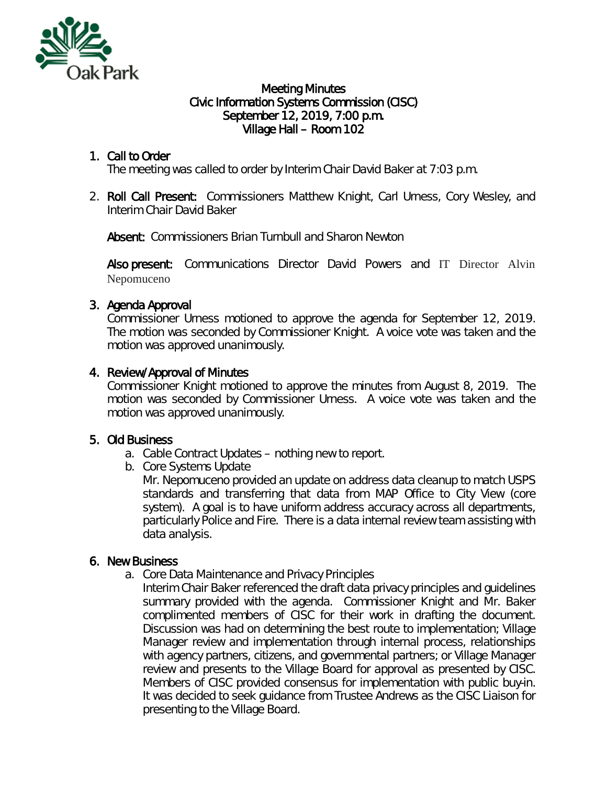

#### Meeting Minutes Civic Information Systems Commission (CISC) September 12, 2019, 7:00 p.m. Village Hall – Room 102

# 1. Call to Order

The meeting was called to order by Interim Chair David Baker at 7:03 p.m.

2. Roll Call Present: Commissioners Matthew Knight, Carl Urness, Cory Wesley, and Interim Chair David Baker

Absent: Commissioners Brian Turnbull and Sharon Newton

Also present: Communications Director David Powers and IT Director Alvin Nepomuceno

## 3. Agenda Approval

Commissioner Urness motioned to approve the agenda for September 12, 2019. The motion was seconded by Commissioner Knight. A voice vote was taken and the motion was approved unanimously.

### 4. Review/Approval of Minutes

Commissioner Knight motioned to approve the minutes from August 8, 2019. The motion was seconded by Commissioner Urness. A voice vote was taken and the motion was approved unanimously.

## 5. Old Business

- a. Cable Contract Updates nothing new to report.
- b. Core Systems Update

Mr. Nepomuceno provided an update on address data cleanup to match USPS standards and transferring that data from MAP Office to City View (core system). A goal is to have uniform address accuracy across all departments, particularly Police and Fire. There is a data internal review team assisting with data analysis.

#### 6. New Business

- a. Core Data Maintenance and Privacy Principles
	- Interim Chair Baker referenced the draft data privacy principles and guidelines summary provided with the agenda. Commissioner Knight and Mr. Baker complimented members of CISC for their work in drafting the document. Discussion was had on determining the best route to implementation; Village Manager review and implementation through internal process, relationships with agency partners, citizens, and governmental partners; or Village Manager review and presents to the Village Board for approval as presented by CISC. Members of CISC provided consensus for implementation with public buy-in. It was decided to seek guidance from Trustee Andrews as the CISC Liaison for presenting to the Village Board.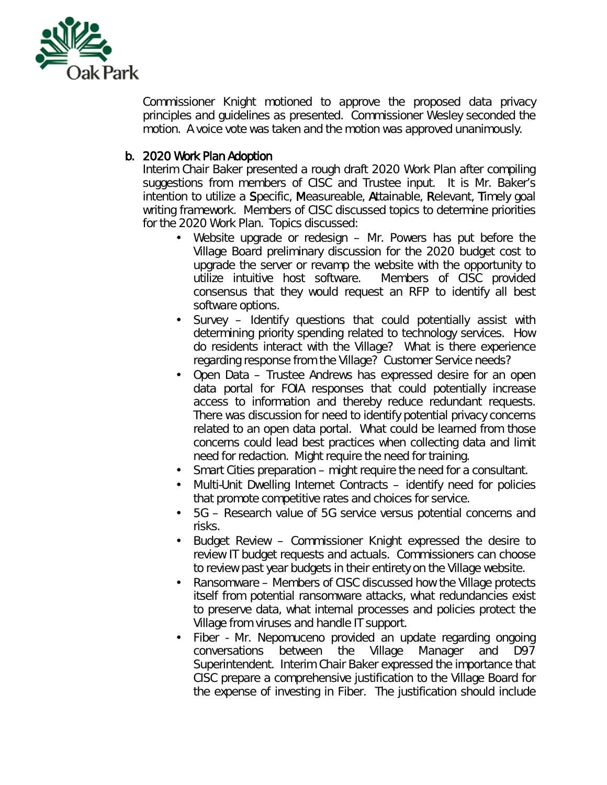

Commissioner Knight motioned to approve the proposed data privacy principles and guidelines as presented. Commissioner Wesley seconded the motion. A voice vote was taken and the motion was approved unanimously.

### b. 2020 Work Plan Adoption

Interim Chair Baker presented a rough draft 2020 Work Plan after compiling suggestions from members of CISC and Trustee input. It is Mr. Baker's intention to utilize a Specific, Measureable, Attainable, Relevant, Timely goal writing framework. Members of CISC discussed topics to determine priorities for the 2020 Work Plan. Topics discussed:

- Website upgrade or redesign Mr. Powers has put before the Village Board preliminary discussion for the 2020 budget cost to upgrade the server or revamp the website with the opportunity to utilize intuitive host software. Members of CISC provided utilize intuitive host software. consensus that they would request an RFP to identify all best software options.
- Survey Identify questions that could potentially assist with  $\mathbf{r}$ determining priority spending related to technology services. How do residents interact with the Village? What is there experience regarding response from the Village? Customer Service needs?
- Open Data Trustee Andrews has expressed desire for an open data portal for FOIA responses that could potentially increase access to information and thereby reduce redundant requests. There was discussion for need to identify potential privacy concerns related to an open data portal. What could be learned from those concerns could lead best practices when collecting data and limit need for redaction. Might require the need for training.
- Smart Cities preparation might require the need for a consultant.
- Multi-Unit Dwelling Internet Contracts identify need for policies that promote competitive rates and choices for service.
- 5G Research value of 5G service versus potential concerns and risks.
- Budget Review Commissioner Knight expressed the desire to a. review IT budget requests and actuals. Commissioners can choose to review past year budgets in their entirety on the Village website.
- Ransomware Members of CISC discussed how the Village protects  $\mathbf{L}^{\text{max}}$ itself from potential ransomware attacks, what redundancies exist to preserve data, what internal processes and policies protect the Village from viruses and handle IT support.
- Fiber Mr. Nepomuceno provided an update regarding ongoing conversations between the Village Manager and D97 Superintendent. Interim Chair Baker expressed the importance that CISC prepare a comprehensive justification to the Village Board for the expense of investing in Fiber. The justification should include